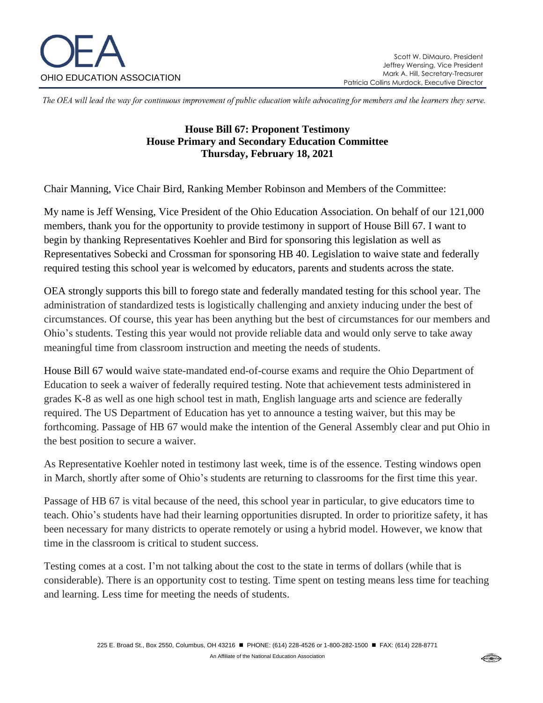

The OEA will lead the way for continuous improvement of public education while advocating for members and the learners they serve.

## **House Bill 67: Proponent Testimony House Primary and Secondary Education Committee Thursday, February 18, 2021**

Chair Manning, Vice Chair Bird, Ranking Member Robinson and Members of the Committee:

My name is Jeff Wensing, Vice President of the Ohio Education Association. On behalf of our 121,000 members, thank you for the opportunity to provide testimony in support of House Bill 67. I want to begin by thanking Representatives Koehler and Bird for sponsoring this legislation as well as Representatives Sobecki and Crossman for sponsoring HB 40. Legislation to waive state and federally required testing this school year is welcomed by educators, parents and students across the state.

OEA strongly supports this bill to forego state and federally mandated testing for this school year. The administration of standardized tests is logistically challenging and anxiety inducing under the best of circumstances. Of course, this year has been anything but the best of circumstances for our members and Ohio's students. Testing this year would not provide reliable data and would only serve to take away meaningful time from classroom instruction and meeting the needs of students.

House Bill 67 would waive state-mandated end-of-course exams and require the Ohio Department of Education to seek a waiver of federally required testing. Note that achievement tests administered in grades K-8 as well as one high school test in math, English language arts and science are federally required. The US Department of Education has yet to announce a testing waiver, but this may be forthcoming. Passage of HB 67 would make the intention of the General Assembly clear and put Ohio in the best position to secure a waiver.

As Representative Koehler noted in testimony last week, time is of the essence. Testing windows open in March, shortly after some of Ohio's students are returning to classrooms for the first time this year.

Passage of HB 67 is vital because of the need, this school year in particular, to give educators time to teach. Ohio's students have had their learning opportunities disrupted. In order to prioritize safety, it has been necessary for many districts to operate remotely or using a hybrid model. However, we know that time in the classroom is critical to student success.

Testing comes at a cost. I'm not talking about the cost to the state in terms of dollars (while that is considerable). There is an opportunity cost to testing. Time spent on testing means less time for teaching and learning. Less time for meeting the needs of students.